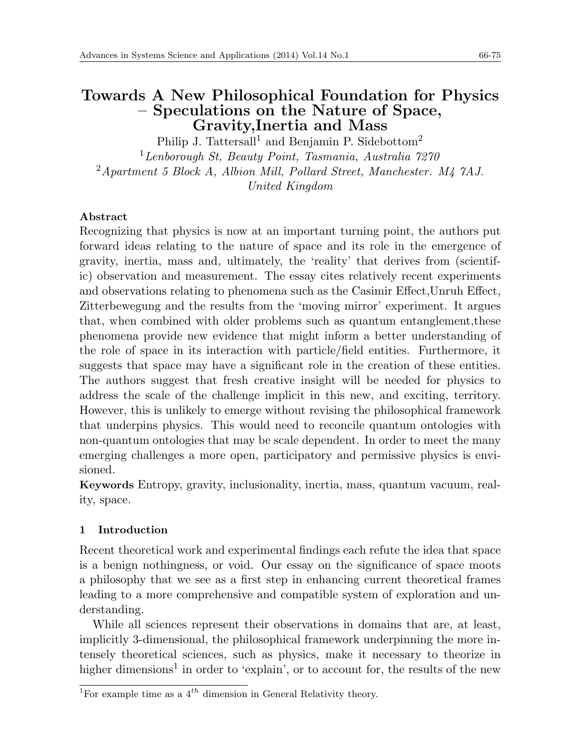# **Towards A New Philosophical Foundation for Physics – Speculations on the Nature of Space, Gravity,Inertia and Mass**

Philip J. Tattersall<sup>1</sup> and Benjamin P. Sidebottom<sup>2</sup>

<sup>1</sup>*Lenborough St, Beauty Point, Tasmania, Australia 7270*

<sup>2</sup>*Apartment 5 Block A, Albion Mill, Pollard Street, Manchester. M4 7AJ. United Kingdom*

# **Abstract**

Recognizing that physics is now at an important turning point, the authors put forward ideas relating to the nature of space and its role in the emergence of gravity, inertia, mass and, ultimately, the 'reality' that derives from (scientific) observation and measurement. The essay cites relatively recent experiments and observations relating to phenomena such as the Casimir Effect, Unruh Effect, Zitterbewegung and the results from the 'moving mirror' experiment. It argues that, when combined with older problems such as quantum entanglement,these phenomena provide new evidence that might inform a better understanding of the role of space in its interaction with particle/field entities. Furthermore, it suggests that space may have a significant role in the creation of these entities. The authors suggest that fresh creative insight will be needed for physics to address the scale of the challenge implicit in this new, and exciting, territory. However, this is unlikely to emerge without revising the philosophical framework that underpins physics. This would need to reconcile quantum ontologies with non-quantum ontologies that may be scale dependent. In order to meet the many emerging challenges a more open, participatory and permissive physics is envisioned.

**Keywords** Entropy, gravity, inclusionality, inertia, mass, quantum vacuum, reality, space.

# **1 Introduction**

Recent theoretical work and experimental findings each refute the idea that space is a benign nothingness, or void. Our essay on the significance of space moots a philosophy that we see as a first step in enhancing current theoretical frames leading to a more comprehensive and compatible system of exploration and understanding.

While all sciences represent their observations in domains that are, at least, implicitly 3-dimensional, the philosophical framework underpinning the more intensely theoretical sciences, such as physics, make it necessary to theorize in higher dimensions<sup>1</sup> in order to 'explain', or to account for, the results of the new

<sup>&</sup>lt;sup>1</sup>For example time as a 4<sup>th</sup> dimension in General Relativity theory.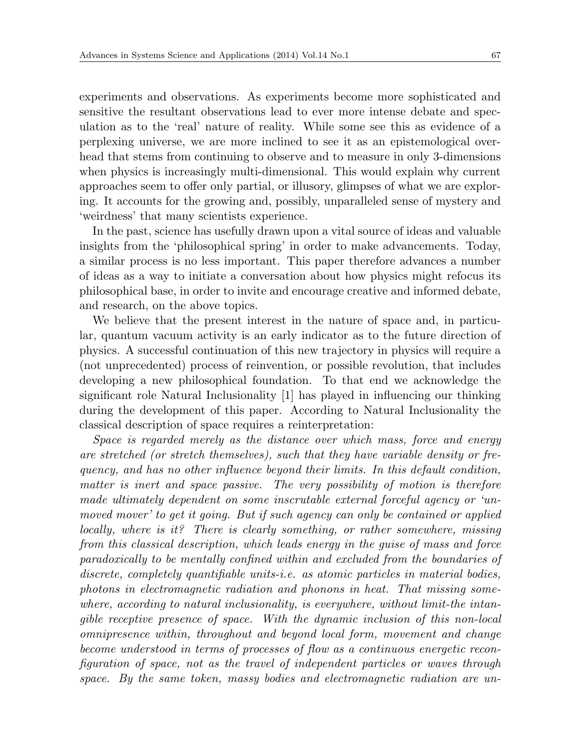experiments and observations. As experiments become more sophisticated and sensitive the resultant observations lead to ever more intense debate and speculation as to the 'real' nature of reality. While some see this as evidence of a perplexing universe, we are more inclined to see it as an epistemological overhead that stems from continuing to observe and to measure in only 3-dimensions when physics is increasingly multi-dimensional. This would explain why current approaches seem to offer only partial, or illusory, glimpses of what we are exploring. It accounts for the growing and, possibly, unparalleled sense of mystery and 'weirdness' that many scientists experience.

In the past, science has usefully drawn upon a vital source of ideas and valuable insights from the 'philosophical spring' in order to make advancements. Today, a similar process is no less important. This paper therefore advances a number of ideas as a way to initiate a conversation about how physics might refocus its philosophical base, in order to invite and encourage creative and informed debate, and research, on the above topics.

We believe that the present interest in the nature of space and, in particular, quantum vacuum activity is an early indicator as to the future direction of physics. A successful continuation of this new trajectory in physics will require a (not unprecedented) process of reinvention, or possible revolution, that includes developing a new philosophical foundation. To that end we acknowledge the significant role Natural Inclusionality [1] has played in influencing our thinking during the development of this paper. According to Natural Inclusionality the classical description of space requires a reinterpretation:

*Space is regarded merely as the distance over which mass, force and energy are stretched (or stretch themselves), such that they have variable density or frequency, and has no other influence beyond their limits. In this default condition, matter is inert and space passive. The very possibility of motion is therefore made ultimately dependent on some inscrutable external forceful agency or 'unmoved mover' to get it going. But if such agency can only be contained or applied locally, where is it? There is clearly something, or rather somewhere, missing from this classical description, which leads energy in the guise of mass and force paradoxically to be mentally confined within and excluded from the boundaries of discrete, completely quantifiable units-i.e. as atomic particles in material bodies, photons in electromagnetic radiation and phonons in heat. That missing somewhere, according to natural inclusionality, is everywhere, without limit-the intangible receptive presence of space. With the dynamic inclusion of this non-local omnipresence within, throughout and beyond local form, movement and change become understood in terms of processes of flow as a continuous energetic reconfiguration of space, not as the travel of independent particles or waves through space. By the same token, massy bodies and electromagnetic radiation are un-*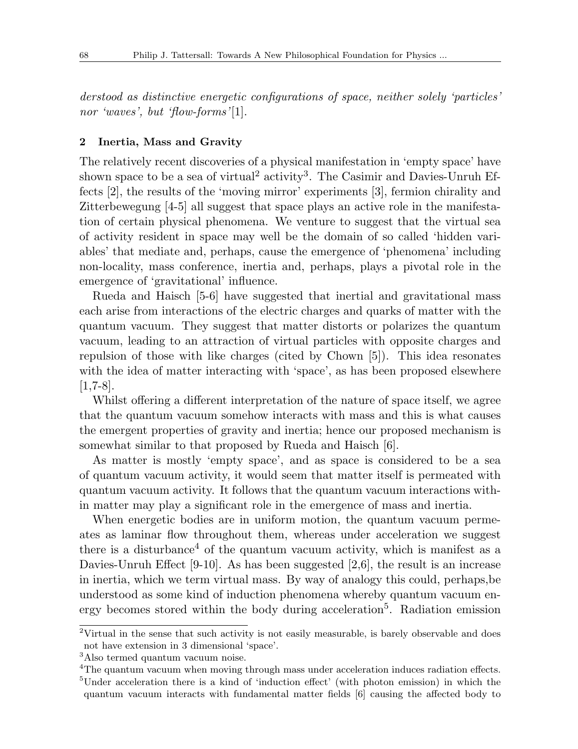*derstood as distinctive energetic configurations of space, neither solely 'particles' nor 'waves', but 'flow-forms'*[1].

# **2 Inertia, Mass and Gravity**

The relatively recent discoveries of a physical manifestation in 'empty space' have shown space to be a sea of virtual<sup>2</sup> activity<sup>3</sup>. The Casimir and Davies-Unruh Effects [2], the results of the 'moving mirror' experiments [3], fermion chirality and Zitterbewegung [4-5] all suggest that space plays an active role in the manifestation of certain physical phenomena. We venture to suggest that the virtual sea of activity resident in space may well be the domain of so called 'hidden variables' that mediate and, perhaps, cause the emergence of 'phenomena' including non-locality, mass conference, inertia and, perhaps, plays a pivotal role in the emergence of 'gravitational' influence.

Rueda and Haisch [5-6] have suggested that inertial and gravitational mass each arise from interactions of the electric charges and quarks of matter with the quantum vacuum. They suggest that matter distorts or polarizes the quantum vacuum, leading to an attraction of virtual particles with opposite charges and repulsion of those with like charges (cited by Chown [5]). This idea resonates with the idea of matter interacting with 'space', as has been proposed elsewhere [1,7-8].

Whilst offering a different interpretation of the nature of space itself, we agree that the quantum vacuum somehow interacts with mass and this is what causes the emergent properties of gravity and inertia; hence our proposed mechanism is somewhat similar to that proposed by Rueda and Haisch [6].

As matter is mostly 'empty space', and as space is considered to be a sea of quantum vacuum activity, it would seem that matter itself is permeated with quantum vacuum activity. It follows that the quantum vacuum interactions within matter may play a significant role in the emergence of mass and inertia.

When energetic bodies are in uniform motion, the quantum vacuum permeates as laminar flow throughout them, whereas under acceleration we suggest there is a disturbance<sup>4</sup> of the quantum vacuum activity, which is manifest as a Davies-Unruh Effect [9-10]. As has been suggested [2,6], the result is an increase in inertia, which we term virtual mass. By way of analogy this could, perhaps,be understood as some kind of induction phenomena whereby quantum vacuum energy becomes stored within the body during acceleration<sup>5</sup>. Radiation emission

 $2V$ irtual in the sense that such activity is not easily measurable, is barely observable and does not have extension in 3 dimensional 'space'.

<sup>3</sup>Also termed quantum vacuum noise.

<sup>4</sup>The quantum vacuum when moving through mass under acceleration induces radiation effects. <sup>5</sup>Under acceleration there is a kind of 'induction effect' (with photon emission) in which the quantum vacuum interacts with fundamental matter fields [6] causing the affected body to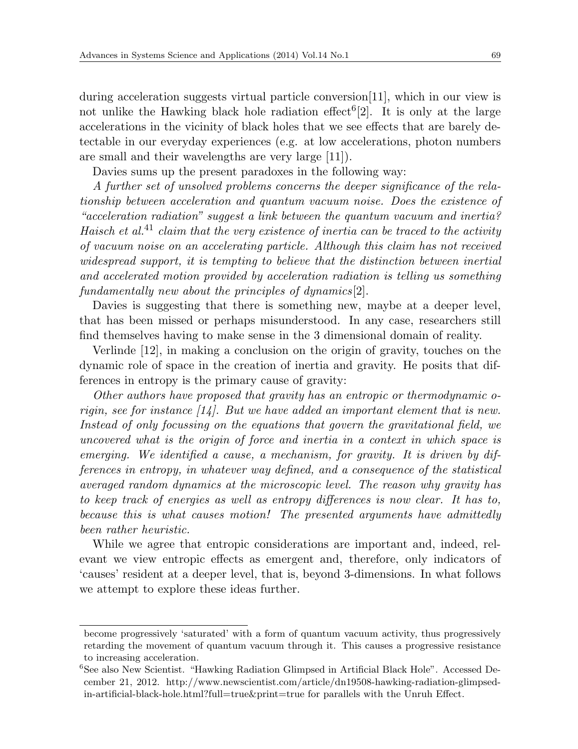during acceleration suggests virtual particle conversion[11], which in our view is not unlike the Hawking black hole radiation effect<sup>6</sup>[2]. It is only at the large accelerations in the vicinity of black holes that we see effects that are barely detectable in our everyday experiences (e.g. at low accelerations, photon numbers are small and their wavelengths are very large [11]).

Davies sums up the present paradoxes in the following way:

*A further set of unsolved problems concerns the deeper significance of the relationship between acceleration and quantum vacuum noise. Does the existence of "acceleration radiation" suggest a link between the quantum vacuum and inertia? Haisch et al.*<sup>41</sup> *claim that the very existence of inertia can be traced to the activity of vacuum noise on an accelerating particle. Although this claim has not received widespread support, it is tempting to believe that the distinction between inertial and accelerated motion provided by acceleration radiation is telling us something fundamentally new about the principles of dynamics*[2].

Davies is suggesting that there is something new, maybe at a deeper level, that has been missed or perhaps misunderstood. In any case, researchers still find themselves having to make sense in the 3 dimensional domain of reality.

Verlinde [12], in making a conclusion on the origin of gravity, touches on the dynamic role of space in the creation of inertia and gravity. He posits that differences in entropy is the primary cause of gravity:

*Other authors have proposed that gravity has an entropic or thermodynamic origin, see for instance [14]. But we have added an important element that is new. Instead of only focussing on the equations that govern the gravitational field, we uncovered what is the origin of force and inertia in a context in which space is emerging. We identified a cause, a mechanism, for gravity. It is driven by differences in entropy, in whatever way defined, and a consequence of the statistical averaged random dynamics at the microscopic level. The reason why gravity has to keep track of energies as well as entropy differences is now clear. It has to, because this is what causes motion! The presented arguments have admittedly been rather heuristic.*

While we agree that entropic considerations are important and, indeed, relevant we view entropic effects as emergent and, therefore, only indicators of 'causes' resident at a deeper level, that is, beyond 3-dimensions. In what follows we attempt to explore these ideas further.

become progressively 'saturated' with a form of quantum vacuum activity, thus progressively retarding the movement of quantum vacuum through it. This causes a progressive resistance to increasing acceleration.

<sup>6</sup>See also New Scientist. "Hawking Radiation Glimpsed in Artificial Black Hole". Accessed December 21, 2012. http://www.newscientist.com/article/dn19508-hawking-radiation-glimpsedin-artificial-black-hole.html?full=true&print=true for parallels with the Unruh Effect.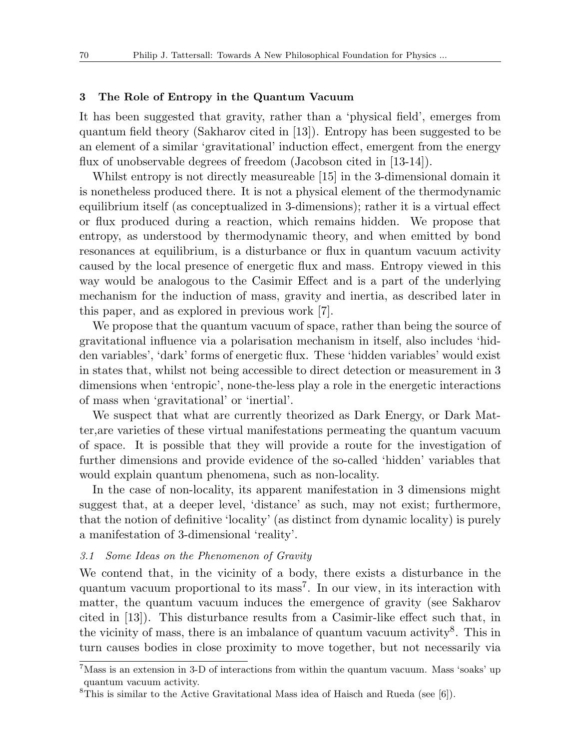#### **3 The Role of Entropy in the Quantum Vacuum**

It has been suggested that gravity, rather than a 'physical field', emerges from quantum field theory (Sakharov cited in [13]). Entropy has been suggested to be an element of a similar 'gravitational' induction effect, emergent from the energy flux of unobservable degrees of freedom (Jacobson cited in [13-14]).

Whilst entropy is not directly measureable [15] in the 3-dimensional domain it is nonetheless produced there. It is not a physical element of the thermodynamic equilibrium itself (as conceptualized in 3-dimensions); rather it is a virtual effect or flux produced during a reaction, which remains hidden. We propose that entropy, as understood by thermodynamic theory, and when emitted by bond resonances at equilibrium, is a disturbance or flux in quantum vacuum activity caused by the local presence of energetic flux and mass. Entropy viewed in this way would be analogous to the Casimir Effect and is a part of the underlying mechanism for the induction of mass, gravity and inertia, as described later in this paper, and as explored in previous work [7].

We propose that the quantum vacuum of space, rather than being the source of gravitational influence via a polarisation mechanism in itself, also includes 'hidden variables', 'dark' forms of energetic flux. These 'hidden variables' would exist in states that, whilst not being accessible to direct detection or measurement in 3 dimensions when 'entropic', none-the-less play a role in the energetic interactions of mass when 'gravitational' or 'inertial'.

We suspect that what are currently theorized as Dark Energy, or Dark Matter,are varieties of these virtual manifestations permeating the quantum vacuum of space. It is possible that they will provide a route for the investigation of further dimensions and provide evidence of the so-called 'hidden' variables that would explain quantum phenomena, such as non-locality.

In the case of non-locality, its apparent manifestation in 3 dimensions might suggest that, at a deeper level, 'distance' as such, may not exist; furthermore, that the notion of definitive 'locality' (as distinct from dynamic locality) is purely a manifestation of 3-dimensional 'reality'.

#### *3.1 Some Ideas on the Phenomenon of Gravity*

We contend that, in the vicinity of a body, there exists a disturbance in the quantum vacuum proportional to its mass<sup>7</sup>. In our view, in its interaction with matter, the quantum vacuum induces the emergence of gravity (see Sakharov cited in [13]). This disturbance results from a Casimir-like effect such that, in the vicinity of mass, there is an imbalance of quantum vacuum activity<sup>8</sup>. This in turn causes bodies in close proximity to move together, but not necessarily via

 $7$ Mass is an extension in 3-D of interactions from within the quantum vacuum. Mass 'soaks' up quantum vacuum activity.

<sup>&</sup>lt;sup>8</sup>This is similar to the Active Gravitational Mass idea of Haisch and Rueda (see [6]).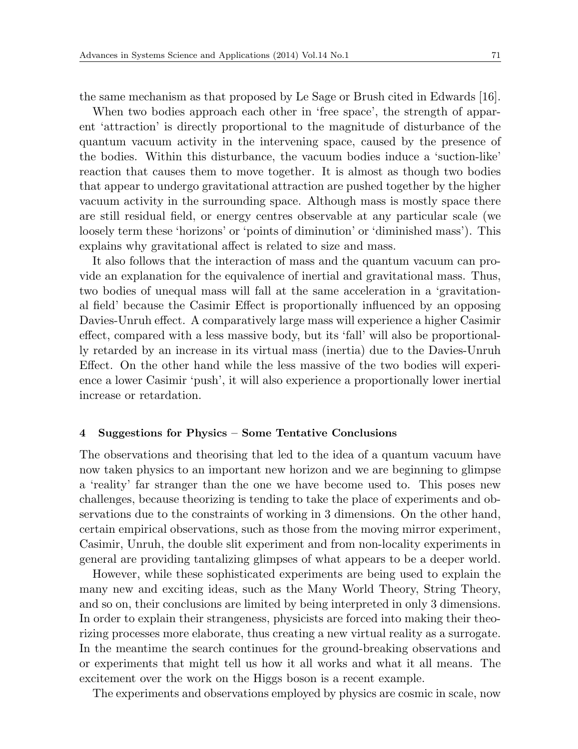the same mechanism as that proposed by Le Sage or Brush cited in Edwards [16].

When two bodies approach each other in 'free space', the strength of apparent 'attraction' is directly proportional to the magnitude of disturbance of the quantum vacuum activity in the intervening space, caused by the presence of the bodies. Within this disturbance, the vacuum bodies induce a 'suction-like' reaction that causes them to move together. It is almost as though two bodies that appear to undergo gravitational attraction are pushed together by the higher vacuum activity in the surrounding space. Although mass is mostly space there are still residual field, or energy centres observable at any particular scale (we loosely term these 'horizons' or 'points of diminution' or 'diminished mass'). This explains why gravitational affect is related to size and mass.

It also follows that the interaction of mass and the quantum vacuum can provide an explanation for the equivalence of inertial and gravitational mass. Thus, two bodies of unequal mass will fall at the same acceleration in a 'gravitational field' because the Casimir Effect is proportionally influenced by an opposing Davies-Unruh effect. A comparatively large mass will experience a higher Casimir effect, compared with a less massive body, but its 'fall' will also be proportionally retarded by an increase in its virtual mass (inertia) due to the Davies-Unruh Effect. On the other hand while the less massive of the two bodies will experience a lower Casimir 'push', it will also experience a proportionally lower inertial increase or retardation.

### **4 Suggestions for Physics – Some Tentative Conclusions**

The observations and theorising that led to the idea of a quantum vacuum have now taken physics to an important new horizon and we are beginning to glimpse a 'reality' far stranger than the one we have become used to. This poses new challenges, because theorizing is tending to take the place of experiments and observations due to the constraints of working in 3 dimensions. On the other hand, certain empirical observations, such as those from the moving mirror experiment, Casimir, Unruh, the double slit experiment and from non-locality experiments in general are providing tantalizing glimpses of what appears to be a deeper world.

However, while these sophisticated experiments are being used to explain the many new and exciting ideas, such as the Many World Theory, String Theory, and so on, their conclusions are limited by being interpreted in only 3 dimensions. In order to explain their strangeness, physicists are forced into making their theorizing processes more elaborate, thus creating a new virtual reality as a surrogate. In the meantime the search continues for the ground-breaking observations and or experiments that might tell us how it all works and what it all means. The excitement over the work on the Higgs boson is a recent example.

The experiments and observations employed by physics are cosmic in scale, now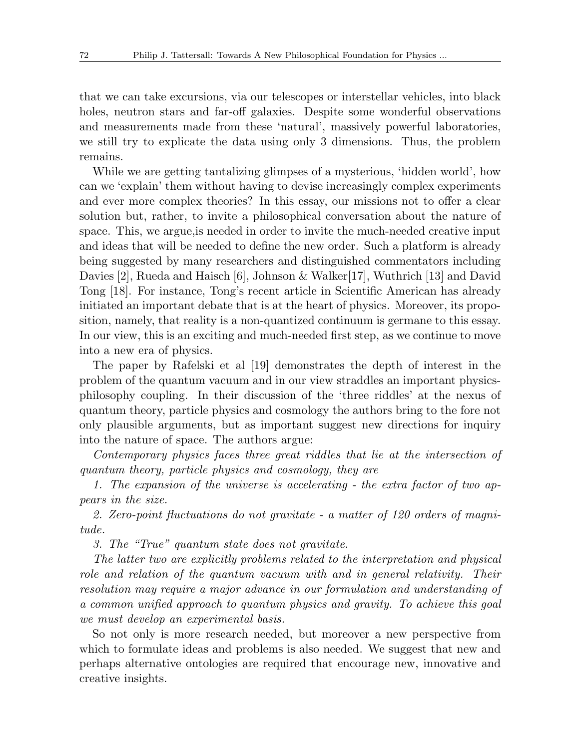that we can take excursions, via our telescopes or interstellar vehicles, into black holes, neutron stars and far-off galaxies. Despite some wonderful observations and measurements made from these 'natural', massively powerful laboratories, we still try to explicate the data using only 3 dimensions. Thus, the problem remains.

While we are getting tantalizing glimpses of a mysterious, 'hidden world', how can we 'explain' them without having to devise increasingly complex experiments and ever more complex theories? In this essay, our missions not to offer a clear solution but, rather, to invite a philosophical conversation about the nature of space. This, we argue,is needed in order to invite the much-needed creative input and ideas that will be needed to define the new order. Such a platform is already being suggested by many researchers and distinguished commentators including Davies [2], Rueda and Haisch [6], Johnson & Walker[17], Wuthrich [13] and David Tong [18]. For instance, Tong's recent article in Scientific American has already initiated an important debate that is at the heart of physics. Moreover, its proposition, namely, that reality is a non-quantized continuum is germane to this essay. In our view, this is an exciting and much-needed first step, as we continue to move into a new era of physics.

The paper by Rafelski et al [19] demonstrates the depth of interest in the problem of the quantum vacuum and in our view straddles an important physicsphilosophy coupling. In their discussion of the 'three riddles' at the nexus of quantum theory, particle physics and cosmology the authors bring to the fore not only plausible arguments, but as important suggest new directions for inquiry into the nature of space. The authors argue:

*Contemporary physics faces three great riddles that lie at the intersection of quantum theory, particle physics and cosmology, they are*

*1. The expansion of the universe is accelerating - the extra factor of two appears in the size.*

*2. Zero-point fluctuations do not gravitate - a matter of 120 orders of magnitude.*

*3. The "True" quantum state does not gravitate.*

*The latter two are explicitly problems related to the interpretation and physical role and relation of the quantum vacuum with and in general relativity. Their resolution may require a major advance in our formulation and understanding of a common unified approach to quantum physics and gravity. To achieve this goal we must develop an experimental basis.*

So not only is more research needed, but moreover a new perspective from which to formulate ideas and problems is also needed. We suggest that new and perhaps alternative ontologies are required that encourage new, innovative and creative insights.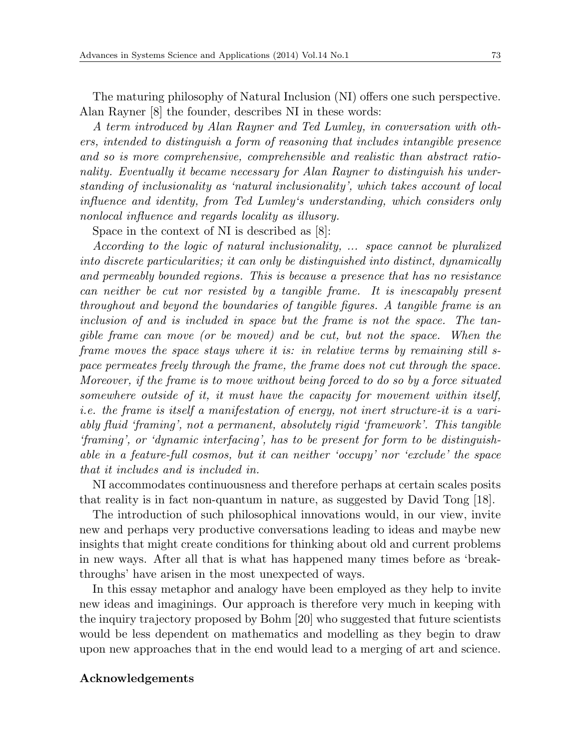The maturing philosophy of Natural Inclusion (NI) offers one such perspective. Alan Rayner [8] the founder, describes NI in these words:

*A term introduced by Alan Rayner and Ted Lumley, in conversation with others, intended to distinguish a form of reasoning that includes intangible presence and so is more comprehensive, comprehensible and realistic than abstract rationality. Eventually it became necessary for Alan Rayner to distinguish his understanding of inclusionality as 'natural inclusionality', which takes account of local influence and identity, from Ted Lumley's understanding, which considers only nonlocal influence and regards locality as illusory.*

Space in the context of NI is described as [8]:

*According to the logic of natural inclusionality, ... space cannot be pluralized into discrete particularities; it can only be distinguished into distinct, dynamically and permeably bounded regions. This is because a presence that has no resistance can neither be cut nor resisted by a tangible frame. It is inescapably present throughout and beyond the boundaries of tangible figures. A tangible frame is an inclusion of and is included in space but the frame is not the space. The tangible frame can move (or be moved) and be cut, but not the space. When the frame moves the space stays where it is: in relative terms by remaining still space permeates freely through the frame, the frame does not cut through the space. Moreover, if the frame is to move without being forced to do so by a force situated somewhere outside of it, it must have the capacity for movement within itself, i.e. the frame is itself a manifestation of energy, not inert structure-it is a variably fluid 'framing', not a permanent, absolutely rigid 'framework'. This tangible 'framing', or 'dynamic interfacing', has to be present for form to be distinguishable in a feature-full cosmos, but it can neither 'occupy' nor 'exclude' the space that it includes and is included in.*

NI accommodates continuousness and therefore perhaps at certain scales posits that reality is in fact non-quantum in nature, as suggested by David Tong [18].

The introduction of such philosophical innovations would, in our view, invite new and perhaps very productive conversations leading to ideas and maybe new insights that might create conditions for thinking about old and current problems in new ways. After all that is what has happened many times before as 'breakthroughs' have arisen in the most unexpected of ways.

In this essay metaphor and analogy have been employed as they help to invite new ideas and imaginings. Our approach is therefore very much in keeping with the inquiry trajectory proposed by Bohm [20] who suggested that future scientists would be less dependent on mathematics and modelling as they begin to draw upon new approaches that in the end would lead to a merging of art and science.

### **Acknowledgements**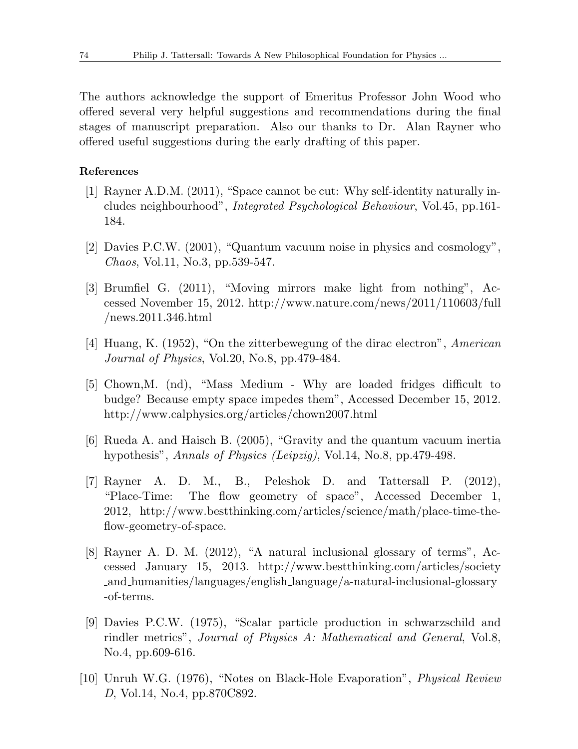The authors acknowledge the support of Emeritus Professor John Wood who offered several very helpful suggestions and recommendations during the final stages of manuscript preparation. Also our thanks to Dr. Alan Rayner who offered useful suggestions during the early drafting of this paper.

# **References**

- [1] Rayner A.D.M. (2011), "Space cannot be cut: Why self-identity naturally includes neighbourhood", *Integrated Psychological Behaviour*, Vol.45, pp.161- 184.
- [2] Davies P.C.W. (2001), "Quantum vacuum noise in physics and cosmology", *Chaos*, Vol.11, No.3, pp.539-547.
- [3] Brumfiel G. (2011), "Moving mirrors make light from nothing", Accessed November 15, 2012. http://www.nature.com/news/2011/110603/full /news.2011.346.html
- [4] Huang, K. (1952), "On the zitterbewegung of the dirac electron", *American Journal of Physics*, Vol.20, No.8, pp.479-484.
- [5] Chown,M. (nd), "Mass Medium Why are loaded fridges difficult to budge? Because empty space impedes them", Accessed December 15, 2012. http://www.calphysics.org/articles/chown2007.html
- [6] Rueda A. and Haisch B. (2005), "Gravity and the quantum vacuum inertia hypothesis", *Annals of Physics (Leipzig)*, Vol.14, No.8, pp.479-498.
- [7] Rayner A. D. M., B., Peleshok D. and Tattersall P. (2012), "Place-Time: The flow geometry of space", Accessed December 1, 2012, http://www.bestthinking.com/articles/science/math/place-time-theflow-geometry-of-space.
- [8] Rayner A. D. M. (2012), "A natural inclusional glossary of terms", Accessed January 15, 2013. http://www.bestthinking.com/articles/society and humanities/languages/english language/a-natural-inclusional-glossary -of-terms.
- [9] Davies P.C.W. (1975), "Scalar particle production in schwarzschild and rindler metrics", *Journal of Physics A: Mathematical and General*, Vol.8, No.4, pp.609-616.
- [10] Unruh W.G. (1976), "Notes on Black-Hole Evaporation", *Physical Review D*, Vol.14, No.4, pp.870C892.